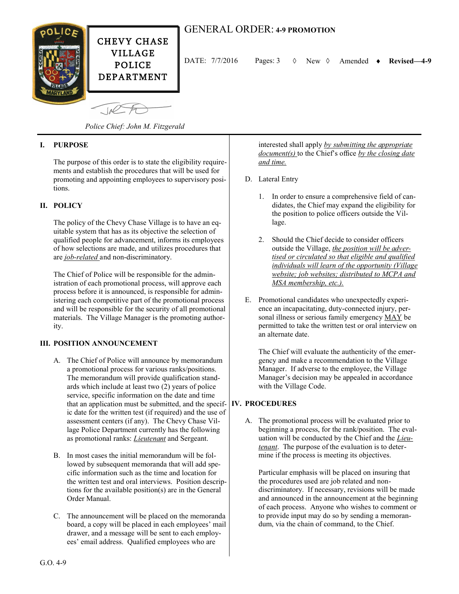

 $\sqrt{10}$ 

DATE: 7/7/2016 Pages: 3 New Amended **Revised—4-9**

*Police Chief: John M. Fitzgerald*

# **I. PURPOSE**

The purpose of this order is to state the eligibility requirements and establish the procedures that will be used for promoting and appointing employees to supervisory positions.

# **II. POLICY**

The policy of the Chevy Chase Village is to have an equitable system that has as its objective the selection of qualified people for advancement, informs its employees of how selections are made, and utilizes procedures that are *job-related* and non-discriminatory.

The Chief of Police will be responsible for the administration of each promotional process, will approve each process before it is announced, is responsible for administering each competitive part of the promotional process and will be responsible for the security of all promotional materials. The Village Manager is the promoting authority.

### **III. POSITION ANNOUNCEMENT**

- A. The Chief of Police will announce by memorandum a promotional process for various ranks/positions. The memorandum will provide qualification standards which include at least two (2) years of police service, specific information on the date and time that an application must be submitted, and the specif-**IV. PROCEDURES** ic date for the written test (if required) and the use of assessment centers (if any). The Chevy Chase Village Police Department currently has the following as promotional ranks: *Lieutenant* and Sergeant.
- B. In most cases the initial memorandum will be followed by subsequent memoranda that will add specific information such as the time and location for the written test and oral interviews. Position descriptions for the available position(s) are in the General Order Manual.
- C. The announcement will be placed on the memoranda board, a copy will be placed in each employees' mail drawer, and a message will be sent to each employees' email address. Qualified employees who are

interested shall apply *by submitting the appropriate document(s)* to the Chief's office *by the closing date and time.*

- D. Lateral Entry
	- 1. In order to ensure a comprehensive field of candidates, the Chief may expand the eligibility for the position to police officers outside the Village.
	- 2. Should the Chief decide to consider officers outside the Village, *the position will be advertised or circulated so that eligible and qualified individuals will learn of the opportunity (Village website; job websites; distributed to MCPA and MSA membership, etc.).*
- E. Promotional candidates who unexpectedly experience an incapacitating, duty-connected injury, personal illness or serious family emergency MAY be permitted to take the written test or oral interview on an alternate date.

The Chief will evaluate the authenticity of the emergency and make a recommendation to the Village Manager. If adverse to the employee, the Village Manager's decision may be appealed in accordance with the Village Code.

A. The promotional process will be evaluated prior to beginning a process, for the rank/position. The evaluation will be conducted by the Chief and the *Lieutenant*. The purpose of the evaluation is to determine if the process is meeting its objectives.

Particular emphasis will be placed on insuring that the procedures used are job related and nondiscriminatory. If necessary, revisions will be made and announced in the announcement at the beginning of each process. Anyone who wishes to comment or to provide input may do so by sending a memorandum, via the chain of command, to the Chief.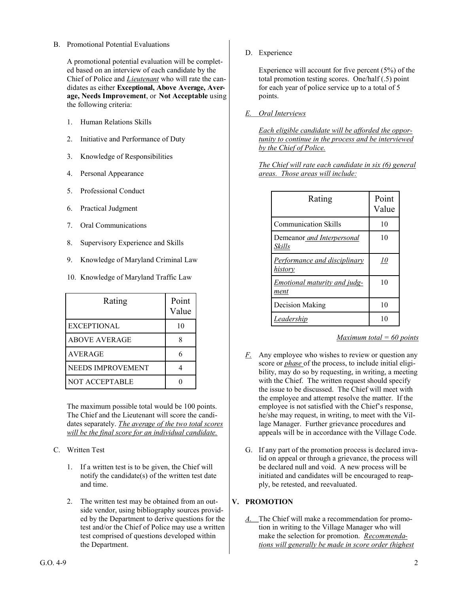### B. Promotional Potential Evaluations

A promotional potential evaluation will be completed based on an interview of each candidate by the Chief of Police and *Lieutenant* who will rate the candidates as either **Exceptional, Above Average, Average, Needs Improvement**, or **Not Acceptable** using the following criteria:

- 1. Human Relations Skills
- 2. Initiative and Performance of Duty
- 3. Knowledge of Responsibilities
- 4. Personal Appearance
- 5. Professional Conduct
- 6. Practical Judgment
- 7. Oral Communications
- 8. Supervisory Experience and Skills
- 9. Knowledge of Maryland Criminal Law
- 10. Knowledge of Maryland Traffic Law

| Rating               | Point<br>Value |
|----------------------|----------------|
| <b>EXCEPTIONAL</b>   | 10             |
| <b>ABOVE AVERAGE</b> |                |
| AVERAGE              |                |
| NEEDS IMPROVEMENT    |                |
| NOT ACCEPTABLE       |                |

The maximum possible total would be 100 points. The Chief and the Lieutenant will score the candidates separately. *The average of the two total scores will be the final score for an individual candidate.*

- C. Written Test
	- 1. If a written test is to be given, the Chief will notify the candidate(s) of the written test date and time.
	- 2. The written test may be obtained from an outside vendor, using bibliography sources provided by the Department to derive questions for the test and/or the Chief of Police may use a written test comprised of questions developed within the Department.

D. Experience

Experience will account for five percent (5%) of the total promotion testing scores. One/half (.5) point for each year of police service up to a total of 5 points.

*E. Oral Interviews*

*Each eligible candidate will be afforded the opportunity to continue in the process and be interviewed by the Chief of Police.*

*The Chief will rate each candidate in six (6) general areas. Those areas will include:*

| Rating                                         | Point<br>Value |
|------------------------------------------------|----------------|
| <b>Communication Skills</b>                    | 10             |
| Demeanor and Interpersonal<br>Skills           | 10             |
| <b>Performance and disciplinary</b><br>history | <u>10</u>      |
| Emotional maturity and judg-<br>ment           | 10             |
| Decision Making                                | 10             |
| Leadership                                     | 10             |

*Maximum total = 60 points* 

- *F.* Any employee who wishes to review or question any score or *phase* of the process, to include initial eligibility, may do so by requesting, in writing, a meeting with the Chief. The written request should specify the issue to be discussed. The Chief will meet with the employee and attempt resolve the matter. If the employee is not satisfied with the Chief's response, he/she may request, in writing, to meet with the Village Manager. Further grievance procedures and appeals will be in accordance with the Village Code.
- G. If any part of the promotion process is declared invalid on appeal or through a grievance, the process will be declared null and void. A new process will be initiated and candidates will be encouraged to reapply, be retested, and reevaluated.

# **V. PROMOTION**

*A.* The Chief will make a recommendation for promotion in writing to the Village Manager who will make the selection for promotion. *Recommendations will generally be made in score order (highest*